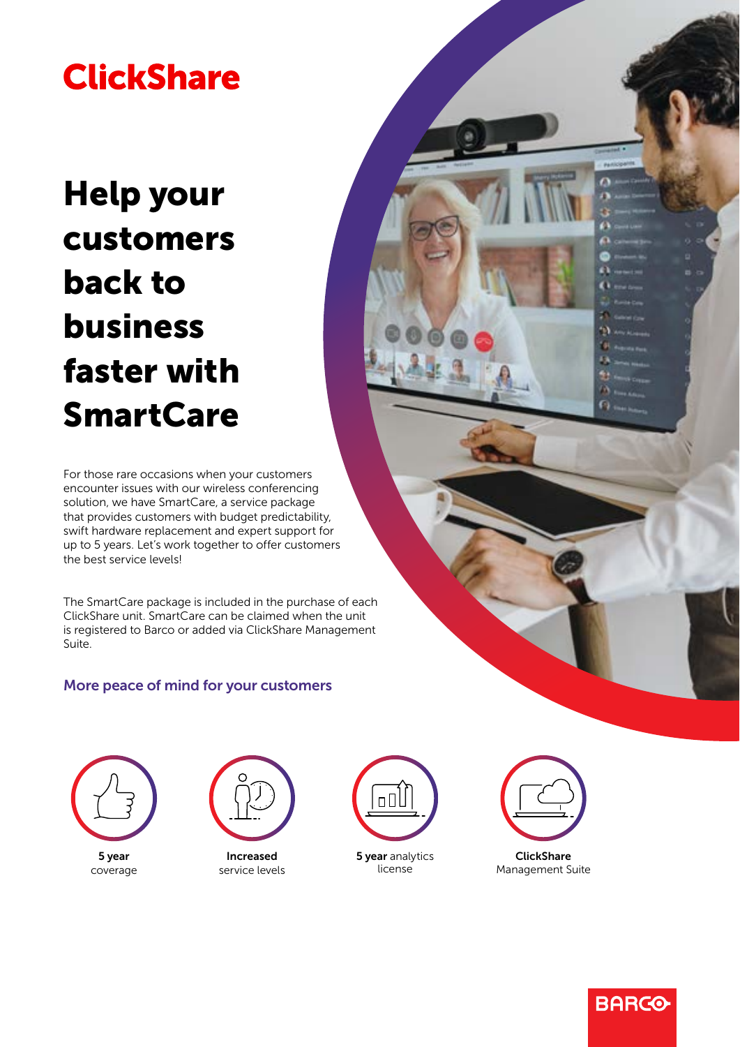## **ClickShare**

# Help your customers back to business faster with **SmartCare**

For those rare occasions when your customers encounter issues with our wireless conferencing solution, we have SmartCare, a service package that provides customers with budget predictability, swift hardware replacement and expert support for up to 5 years. Let's work together to offer customers the best service levels!

The SmartCare package is included in the purchase of each ClickShare unit. SmartCare can be claimed when the unit is registered to Barco or added via ClickShare Management Suite.

## More peace of mind for your customers





service levels



**5 year** analytics license



Management Suite